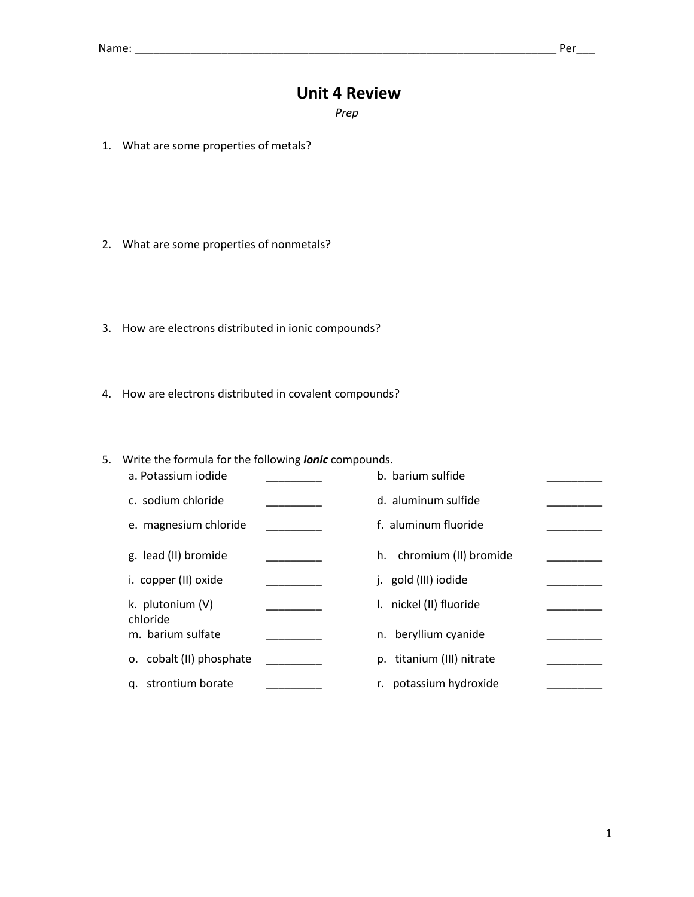## **Unit 4 Review**

*Prep* 

- 1. What are some properties of metals?
- 2. What are some properties of nonmetals?
- 3. How are electrons distributed in ionic compounds?
- 4. How are electrons distributed in covalent compounds?

5. Write the formula for the following *ionic* compounds.

| a. Potassium iodide           | b. barium sulfide           |  |
|-------------------------------|-----------------------------|--|
| c. sodium chloride            | d. aluminum sulfide         |  |
| e. magnesium chloride         | f. aluminum fluoride        |  |
| g. lead (II) bromide          | chromium (II) bromide<br>h. |  |
| i. copper (II) oxide          | j. gold (III) iodide        |  |
| k. plutonium (V)              | I. nickel (II) fluoride     |  |
| chloride<br>m. barium sulfate | n. beryllium cyanide        |  |
| o. cobalt (II) phosphate      | p. titanium (III) nitrate   |  |
| q. strontium borate           | r. potassium hydroxide      |  |